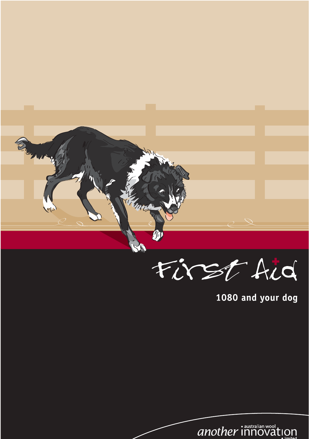

1080 and your dog

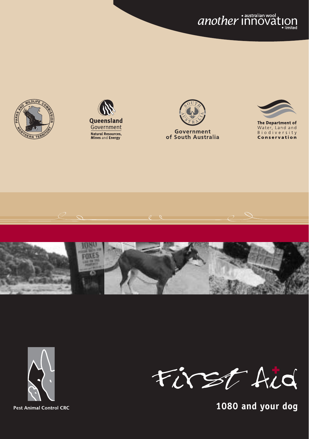*another* innoval  $\mathop{I\text{O}}_{\bullet\text{ limited}}$ 













**Pest Animal Control CRC** 



1080 and your dog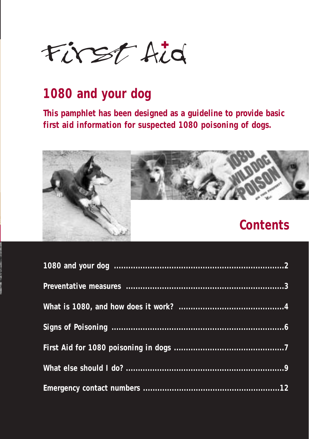

## **1080 and your dog**

**This pamphlet has been designed as a guideline to provide basic first aid information for suspected 1080 poisoning of dogs.**



|  |  | Contents |
|--|--|----------|
|  |  |          |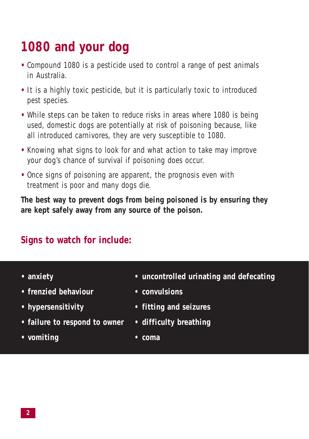# **1080 and your dog**

- **•** Compound 1080 is a pesticide used to control a range of pest animals in Australia.
- **•** It is a highly toxic pesticide, but it is particularly toxic to introduced pest species.
- **•** While steps can be taken to reduce risks in areas where 1080 is being used, domestic dogs are potentially at risk of poisoning because, like all introduced carnivores, they are very susceptible to 1080.
- **•** Knowing what signs to look for and what action to take may improve your dog's chance of survival if poisoning does occur.
- Once signs of poisoning are apparent, the prognosis even with treatment is poor and many dogs die.

**The best way to prevent dogs from being poisoned is by ensuring they are kept safely away from any source of the poison.**

### **Signs to watch for include:**

- 
- **frenzied behaviour convulsions**
- 
- **failure to respond to owner difficulty breathing**
- **vomiting coma**
- **anxiety uncontrolled urinating and defecating**
	-
- **hypersensitivity fitting and seizures**
	-
	-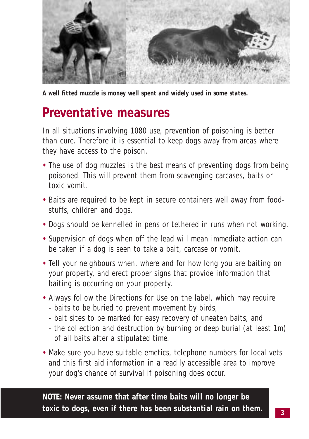

*A well fitted muzzle is money well spent and widely used in some states.*

### **Preventative measures**

In all situations involving 1080 use, prevention of poisoning is better than cure. Therefore it is essential to keep dogs away from areas where they have access to the poison.

- **•** The use of dog muzzles is the best means of preventing dogs from being poisoned. This will prevent them from scavenging carcases, baits or toxic vomit.
- **•** Baits are required to be kept in secure containers well away from foodstuffs, children and dogs.
- **•** Dogs should be kennelled in pens or tethered in runs when not working.
- **•** Supervision of dogs when off the lead will mean immediate action can be taken if a dog is seen to take a bait, carcase or vomit.
- **•** Tell your neighbours when, where and for how long you are baiting on your property, and erect proper signs that provide information that baiting is occurring on your property.
- **•** Always follow the Directions for Use on the label, which may require - baits to be buried to prevent movement by birds,
	- bait sites to be marked for easy recovery of uneaten baits, and
	- the collection and destruction by burning or deep burial (at least 1m) of all baits after a stipulated time.
- **•** Make sure you have suitable emetics, telephone numbers for local vets and this first aid information in a readily accessible area to improve your dog's chance of survival if poisoning does occur.

**NOTE: Never assume that after time baits will no longer be toxic to dogs, even if there has been substantial rain on them.**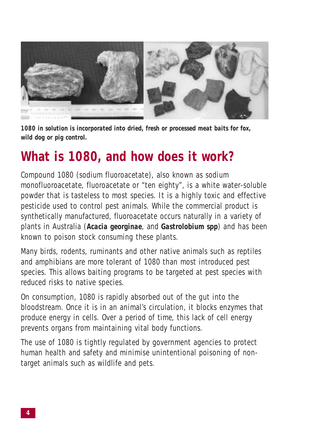

*1080 in solution is incorporated into dried, fresh or processed meat baits for fox, wild dog or pig control.*

## **What is 1080, and how does it work?**

Compound 1080 (sodium fluoroacetate), also known as sodium monofluoroacetate, fluoroacetate or "ten eighty", is a white water-soluble powder that is tasteless to most species. It is a highly toxic and effective pesticide used to control pest animals. While the commercial product is synthetically manufactured, fluoroacetate occurs naturally in a variety of plants in Australia (*Acacia georginae*, and *Gastrolobium spp*) and has been known to poison stock consuming these plants.

Many birds, rodents, ruminants and other native animals such as reptiles and amphibians are more tolerant of 1080 than most introduced pest species. This allows baiting programs to be targeted at pest species with reduced risks to native species.

On consumption, 1080 is rapidly absorbed out of the gut into the bloodstream. Once it is in an animal's circulation, it blocks enzymes that produce energy in cells. Over a period of time, this lack of cell energy prevents organs from maintaining vital body functions.

The use of 1080 is tightly regulated by government agencies to protect human health and safety and minimise unintentional poisoning of nontarget animals such as wildlife and pets.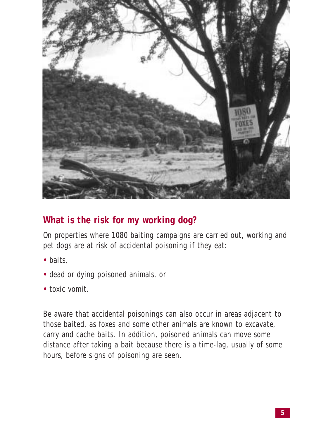

### **What is the risk for my working dog?**

On properties where 1080 baiting campaigns are carried out, working and pet dogs are at risk of accidental poisoning if they eat:

- **•** baits,
- **•** dead or dying poisoned animals, or
- **•** toxic vomit.

Be aware that accidental poisonings can also occur in areas adjacent to those baited, as foxes and some other animals are known to excavate, carry and cache baits. In addition, poisoned animals can move some distance after taking a bait because there is a time-lag, usually of some hours, before signs of poisoning are seen.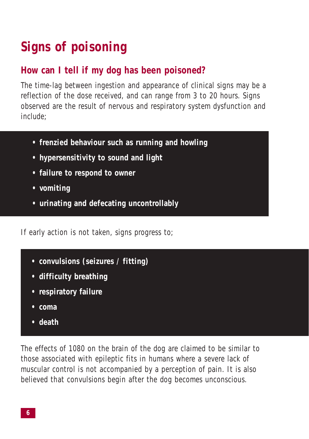# **Signs of poisoning**

### **How can I tell if my dog has been poisoned?**

The time-lag between ingestion and appearance of clinical signs may be a reflection of the dose received, and can range from 3 to 20 hours. Signs observed are the result of nervous and respiratory system dysfunction and include;

- **frenzied behaviour such as running and howling**
- **hypersensitivity to sound and light**
- **failure to respond to owner**
- **vomiting**
- **• urinating and defecating uncontrollably**

If early action is not taken, signs progress to;

- **• convulsions (seizures / fitting)**
- **• difficulty breathing**
- **respiratory failure**
- **• coma**
- **• death**

The effects of 1080 on the brain of the dog are claimed to be similar to those associated with epileptic fits in humans where a severe lack of muscular control is not accompanied by a perception of pain. It is also believed that convulsions begin after the dog becomes unconscious.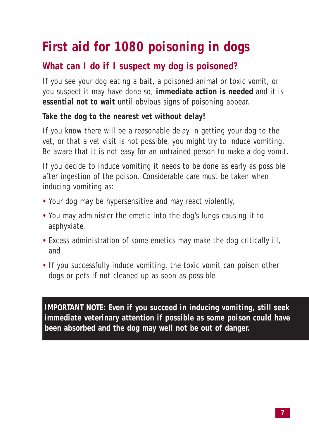# **First aid for 1080 poisoning in dogs**

### **What can I do if I suspect my dog is poisoned?**

If you see your dog eating a bait, a poisoned animal or toxic vomit, or you suspect it may have done so, **immediate action is needed** and it is **essential not to wait** until obvious signs of poisoning appear.

#### **Take the dog to the nearest vet without delay!**

If you know there will be a reasonable delay in getting your dog to the vet, or that a vet visit is not possible, you might try to induce vomiting. Be aware that it is not easy for an untrained person to make a dog vomit.

If you decide to induce vomiting it needs to be done as early as possible after ingestion of the poison. Considerable care must be taken when inducing vomiting as:

- **•** Your dog may be hypersensitive and may react violently,
- **•** You may administer the emetic into the dog's lungs causing it to asphyxiate,
- **•** Excess administration of some emetics may make the dog critically ill, and
- **•** If you successfully induce vomiting, the toxic vomit can poison other dogs or pets if not cleaned up as soon as possible.

**IMPORTANT NOTE: Even if you succeed in inducing vomiting, still seek immediate veterinary attention if possible as some poison could have been absorbed and the dog may well not be out of danger.**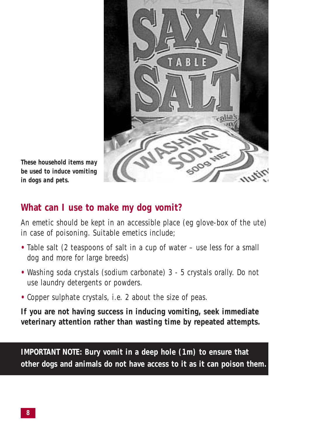

*These household items may be used to induce vomiting in dogs and pets.*

#### **What can I use to make my dog vomit?**

An emetic should be kept in an accessible place (eg glove-box of the ute) in case of poisoning. Suitable emetics include;

- **•** Table salt (2 teaspoons of salt in a cup of water use less for a small dog and more for large breeds)
- **•** Washing soda crystals (sodium carbonate) 3 5 crystals orally. Do not use laundry detergents or powders.
- **•** Copper sulphate crystals, i.e. 2 about the size of peas.

**If you are not having success in inducing vomiting, seek immediate veterinary attention rather than wasting time by repeated attempts.**

**IMPORTANT NOTE: Bury vomit in a deep hole (1m) to ensure that other dogs and animals do not have access to it as it can poison them.**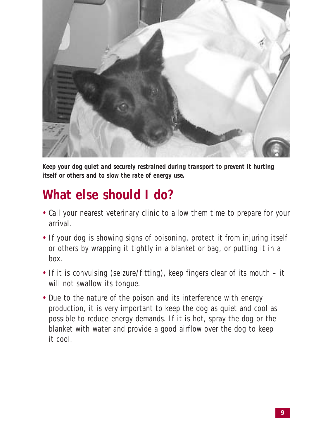

*Keep your dog quiet and securely restrained during transport to prevent it hurting itself or others and to slow the rate of energy use.*

## **What else should I do?**

- **•** Call your nearest veterinary clinic to allow them time to prepare for your arrival.
- **•** If your dog is showing signs of poisoning, protect it from injuring itself or others by wrapping it tightly in a blanket or bag, or putting it in a box.
- **•** If it is convulsing (seizure/fitting), keep fingers clear of its mouth it will not swallow its tongue.
- **•** Due to the nature of the poison and its interference with energy production, it is very important to keep the dog as quiet and cool as possible to reduce energy demands. If it is hot, spray the dog or the blanket with water and provide a good airflow over the dog to keep it cool.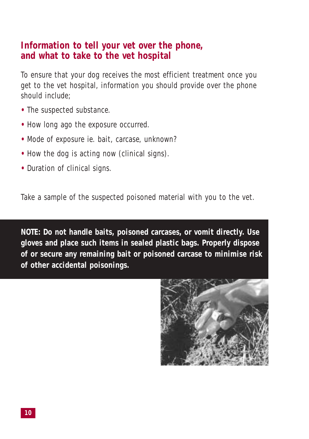#### **Information to tell your vet over the phone, and what to take to the vet hospital**

To ensure that your dog receives the most efficient treatment once you get to the vet hospital, information you should provide over the phone should include;

- **•** The suspected substance.
- **•** How long ago the exposure occurred.
- **•** Mode of exposure ie. bait, carcase, unknown?
- **•** How the dog is acting now (clinical signs).
- **•** Duration of clinical signs.

Take a sample of the suspected poisoned material with you to the vet.

**NOTE: Do not handle baits, poisoned carcases, or vomit directly. Use gloves and place such items in sealed plastic bags. Properly dispose of or secure any remaining bait or poisoned carcase to minimise risk of other accidental poisonings.** 

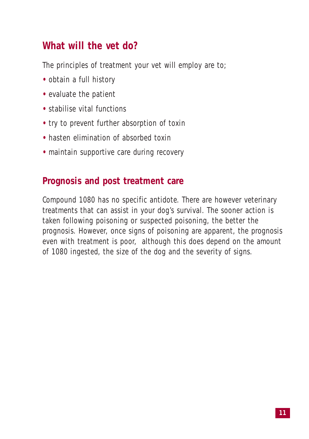### **What will the vet do?**

The principles of treatment your vet will employ are to;

- **•** obtain a full history
- **•** evaluate the patient
- **•** stabilise vital functions
- **•** try to prevent further absorption of toxin
- **•** hasten elimination of absorbed toxin
- maintain supportive care during recovery

#### **Prognosis and post treatment care**

Compound 1080 has no specific antidote. There are however veterinary treatments that can assist in your dog's survival. The sooner action is taken following poisoning or suspected poisoning, the better the prognosis. However, once signs of poisoning are apparent, the prognosis even with treatment is poor, although this does depend on the amount of 1080 ingested, the size of the dog and the severity of signs.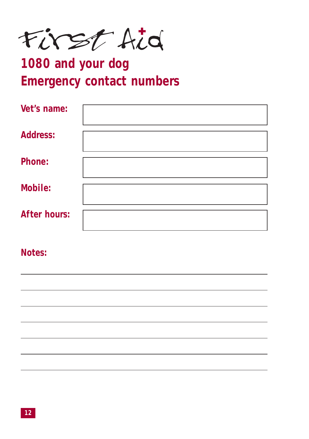First Aid

# **1080 and your dog Emergency contact numbers**

| Vet's name:         |  |
|---------------------|--|
| <b>Address:</b>     |  |
| Phone:              |  |
| Mobile:             |  |
| <b>After hours:</b> |  |

**Notes:**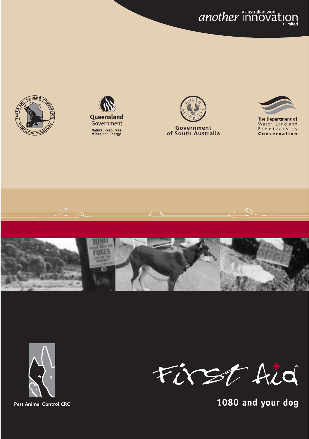another innovation













**Pest Animal Control CRC** 



1080 and your dog